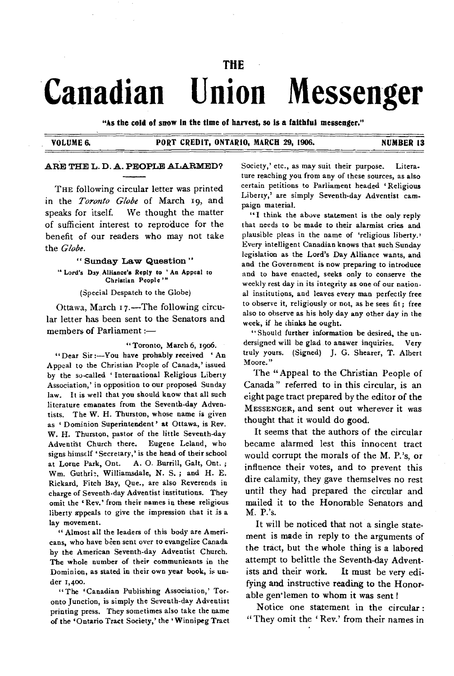### **THE**

# **Canadian Union Messenger**

**"As the cold of snow in the time of harvest, so is a faithful messenger."** 

#### **VOLUME 6. PORT CREDIT, ONTARIO, MARCH 29, 1906. NUMBER 13**

#### **ARE THE L. D. A. PEOPLE ALARMED?**

THE following circular letter was printed in the *Toronto Globe* of March 19, and speaks for itself. We thought the matter of sufficient interest to reproduce for the benefit of our readers who may not take the *Globe.* 

**" Sunday Law Question " " Lord's Day Alliance's** Reply to **An Appeal to Christian People "** 

(Special Despatch to the Globe)

Ottawa, March r7.—The following circular letter has been sent to the Senators and members of Parliament

"Toronto, March 6, 1906.

"Dear Sir :-- You have prohably received 'An Appeal to the Christian People of Canada,' issued by the so-called 'International Religious Liberty Association,' in opposition to our proposed Sunday law. It is well that you should know that all such literature emanates from the Seventh-day Adventists. The W. H. Thurston, whose name is given as 'Dominion Superintendent' at Ottawa, is Rev. W. H. Thurston, pastor of the little Seventh-day Adventist Church there. Eugene Leland, who signs himself 'Secretary,' is the bead of their school at Lorne Park, Ont. A. 0. Burrill, Galt, Ont. ; Wm. Guthrie, Williamsdale, N. S.; and H. E. Rickard, Fitch Bay, Que., are also Reverends in charge of Seventh-day Adventist institutions. They omit the ' Rev.' from their names in these religious liberty appeals to give the impression that it is a lay movement.

" Almost all the leaders of this body are Americans, who have been sent over to evangelize Canada by the American Seventh-day Adventist Church. The whole number of their communicants in the Dominion, as stated in their own year book, is under 1,400.

"The 'Canadian Publishing Association,' Toronto Junction, is simply the Seventh-day Adventist printing press. They sometimes also take the name of the 'Ontario Tract Society,' the Winnipeg Tract Society,' etc., as may suit their purpose. Literature reaching you from any of these sources, as also certain petitions to Parliament headed 'Religious Liberty,' are simply Seventh-day Adventist campaign material.

"I think the above statement is the only reply that needs to be made to their alarmist cries and plausible pleas in the name of 'religious liberty.' Every intelligent Canadian knows that such Sunday legislation as the Lord's Day Alliance wants, and and the Government is now preparing to introduce and to have enacted, seeks only to conserve the weekly rest day in its integrity as one of our national institutions, and leaves every man perfectly free to observe it, religiously or not, as he sees fit; free also to observe as his holy day any other day in the week, if he chinks he ought.

"Should further information be desired, the undersigned will be glad to answer inquiries. Very truly yours. (Signed) J. G. Shearer, T. Albert Moore."

The "Appeal to the Christian People of Canada " referred to in this circular, is an eight page tract prepared by the editor of the MESSENGER, and sent out wherever it was thought that it would do good.

It seems that the authors of the circular became alarmed lest this innocent tract would corrupt the morals of the M. P.'s, or influence their votes, and to prevent this dire calamity, they gave themselves no rest until they had prepared the circular and mailed it to the Honorable Senators and M. P.'s.

It will be noticed that not a single statement is made in reply to the arguments of the tract, but the whole thing is a labored attempt to belittle the Seventh-day Adventists and their work. It must be very edifying and instructive reading to the Honorable gen<sup>t</sup>lemen to whom it was sent !

Notice one statement in the circular : "They omit the 'Rev.' from their names in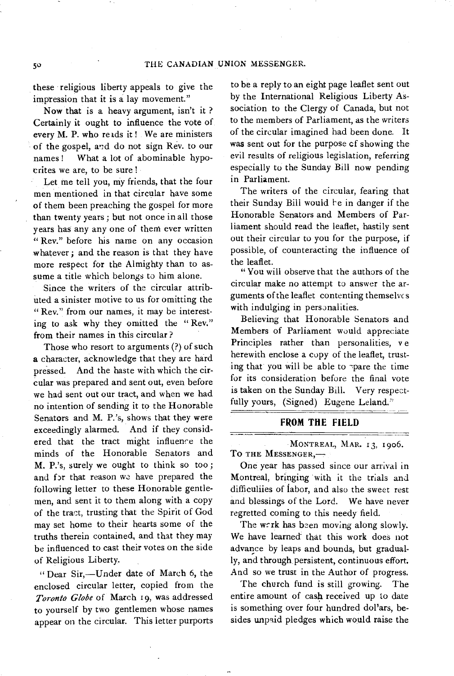these religious liberty appeals to give the impression that it is a lay movement."

Now that is a heavy argument, isn't it ? Certainly it ought to influence the vote of every M. P. who reads it ! We are ministers of the gospel, and do not sign Rev. to our names ! What a lot of abominable hypocrites we are, to be sure !

Let me tell you, my friends, that the four men mentioned in that circular have some of them been preaching the gospel for more than twenty years ; but not once in all those years has any any one of them ever written " Rev." before his name on any occasion whatever; and the reason is that they have more respect for the Almighty than to assume a title which belongs to him alone.

Since the writers of the circular attributed a sinister motive to us for omitting the " Rev." from our names, it may be interesting to ask why they omitted the " Rev." from their names in this circular ?

Those who resort to arguments (?) of such a character, acknowledge that they are hard pressed. And the haste with which the circular was prepared and sent out, even before we had sent out our tract, and when we had no intention of sending it to the Honorable Senators and M. P.'s, shows that they were exceedingly alarmed. And if they considered that the tract might influence the minds of the Honorable Senators and M. P.'s, surely we ought to think so too ; and for that reason we have prepared the following letter to these Honorable gentlemen, and sent it to them along with a copy of the tract, trusting that the Spirit of God may set home to their hearts some of the truths therein contained, and that they may be influenced to cast their votes on the side of Religious Liberty.

" Dear Sir,—Under date of March 6, the enclosed circular letter, copied from the *Toronto Globe* of March 19, was addressed to yourself by two gentlemen whose names appear on the circular. This letter purports to be a reply to an eight page leaflet sent out by the International Religious Liberty Association to the Clergy of Canada, but not to the members of Parliament, as the writers of the circular imagined had been done. It was sent out for the purpose cf showing the evil results of religious legislation, referring especially to the Sunday Bill now pending in Parliament.

The writers of the circular, fearing that their Sunday Bill would be in danger if the Honorable Senators and Members of Parliament should read the leaflet, hastily sent out their circular to you for the purpose, if possible, of counteracting the influence of the leaflet.

"You will observe that the authors of the circular make no attempt to answer the arguments of the leaflet contenting themselvc s with indulging in personalities.

Believing that Honorable Senators and Members of Parliament would appreciate Principles rather than personalities, ve herewith enclose a copy of the leaflet, trusting that you will be able to -pare the time for its consideration before the final vote is taken on the Sunday Bill. Very respectfully yours, (Signed) Eugene Leland."

#### **FROM THE FIELD**

MONTREAL, MAR. 13, 1906. TO THE MESSENGER,-

One year has passed since our arrival in Montreal, bringing with it the trials and difficuliies of labor, and also the sweet rest and blessings of the Lord. We have never regretted coming to this needy field.

The work has been moving along slowly. We have learned that this work does not advance by leaps and bounds, but gradually, and through persistent, continuous effort. And so we trust in the Author of progress.

The church fund is still growing. The entire amount of cash received up to date is something over four hundred dol'ars, besides unpaid pledges which would raise the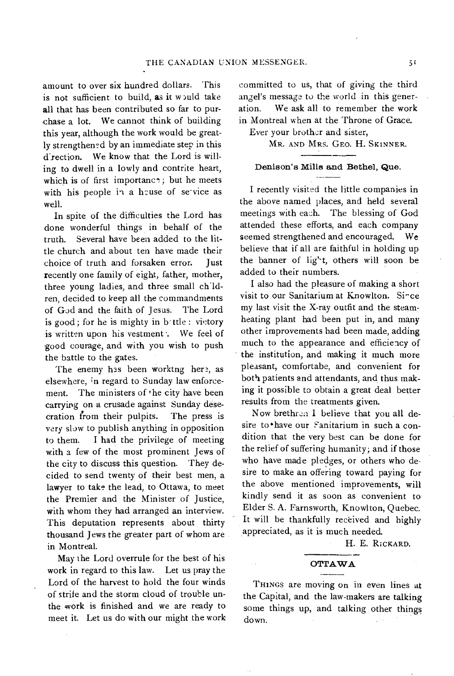amount to over six hundred dollars. This is not sufficient to build, as it would take all that has been contributed so far to purchase a lot. We cannot think of building this year, although the work would be greatly strengthened by an immediate step in this d'rection. We know that the Lord is willing to dwell in a lowly and contrite heart, which is of first importanc<sup>\*</sup>; but he meets with his people in a house of service as well.

In spite of the difficulties the Lord has done wonderful things in behalf of the truth. Several have been added to the little church and about ten have made their choice of truth and forsaken error. Just recently one family of eight, father, mother, three young ladies, and three small ch<sup>1</sup>ldren, decided to keep all the commandments of God and the faith of Jesus. The Lord is good; for he is mighty in b ttle : victory is written upon his vestment . We feel of good courage, and with you wish to push the battle to the gates.

The enemy has been worktng here, as elsewhere, in regard to Sunday law enforcement. The ministers of 'he city have been carrying on a crusade against Sunday desecration from their pulpits. The press is *very slow* to publish anything in opposition to them. I had the privilege of meeting with a few of the most prominent Jews of the city to discuss this question. They decided to send twenty of their best men, a lawyer to take the lead, to Ottawa, to meet the Premier and the Minister of Justice, with whom they had arranged an interview. This deputation represents about thirty thousand Jews the greater part of whom are in Montreal.

May the Lord overrule for the best of his work in regard to this law. Let us pray the Lord of the harvest to hold the four winds of strife and the storm cloud of trouble unthe work is finished and we are ready to meet it. Let us do with our might the work

committed to us, that of giving the third angel's message to the world in this generation. We ask all to remember the work in Montreal when at the Throne of Grace.

Ever your brother and sister,

MR. AND MRS. GEO. H. SKINNER.

## Denison's Mills and Bethel, Que.

I recently visited the little companies in the above named places, and held several meetings with each. The blessing of God attended these efforts, and each company seemed strengthened and encouraged. *We*  believe that if all are faithful in holding up the banner of light, others will soon be added to their numbers.

I also had the pleasure of making a short visit to our Sanitarium at Knowlton. Since my last visit the X-ray outfit and the steamheating plant had been put in, and many other improvements had been made, adding much to the appearance and efficiency of the institution, and making it much more pleasant, comfortabe, and convenient for both patients and attendants, and thus making it possible to obtain a great deal better results from the treatments given.

Now brethren I believe that you all desire to •have our *Sanitarium* in such a condition that the very best can be done for the relief of suffering humanity; and if those who have made pledges, or others who desire to make an offering toward paying for the above mentioned improvements, will kindly send it as soon as convenient to Elder S. A. Farnsworth, Knowlton, Quebec. It will be thankfully received and highly appreciated, as it is much needed.

H. E. RICKARD.

### OTTAWA<br>———<br><sup>1011106</sup> 02 iv

THINGS are moving on in even lines at the Capital, and the law-makers are talking some things up, and talking other things. down.